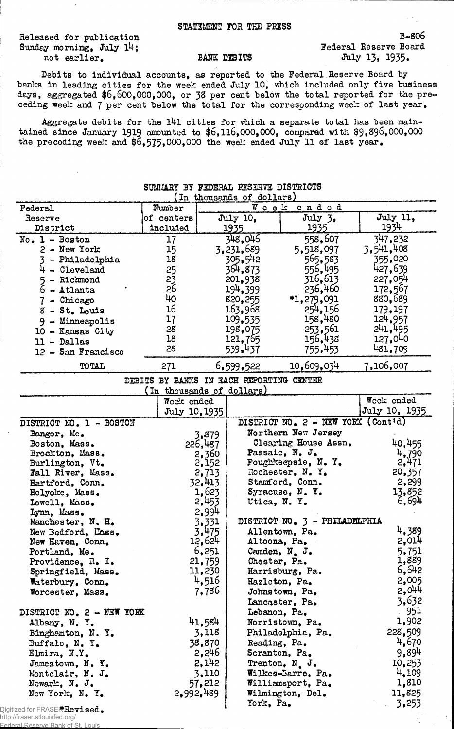Released for publication B-806<br>
Sunday morning, July 14:<br>
Sunday morning, July 14: Sunday morning, July  $1^{\mu}$ ;<br>not earlier.<br>BANK DEBITS not earlier. BANK DEBITS July 13, 1935.

Federal Reserve Bank of St. Louis

Debits to individual accounts, as reported to the Pederal Reserve Board by banks in leading cities for the week ended July 10, which included only five business days, aggregated \$6,600,000,000, or 38 per cent below the total reported for the preceding week and 7 per cent below the total for the corresponding week of last year.

Aggregate debits for the l4l cities for which a separate total has been maintained since January I9I9 amounted to \$6,116,000,000, compared with \$9,696,000,000 the preceding week and  $$6,575,000,000$  the week ended July 11 of last year.

|                                                               |                                          |         | SUMMARY BY FEDERAL RESERVE DISTRICTS<br>(In thousands of dollars) |                                       |                                                                 |
|---------------------------------------------------------------|------------------------------------------|---------|-------------------------------------------------------------------|---------------------------------------|-----------------------------------------------------------------|
| Federal                                                       | Number                                   |         |                                                                   | Week ended                            |                                                                 |
| Reserve                                                       | of centers                               |         | July 10,                                                          | July 3,                               | July 11,                                                        |
| District                                                      | included                                 |         | 1935                                                              | 1935                                  | 1934                                                            |
| $No. 1 - Boston$                                              | 17                                       |         | 348,046                                                           | 558,607                               | 347,232                                                         |
| 2 - New York                                                  | 15                                       |         | 3,231,689                                                         | 5,518,097                             | 3,541,408                                                       |
| - Philadelphia                                                | 18                                       |         | 305,542                                                           | 565,583                               | 355,020                                                         |
| $4 -$ Cleveland                                               |                                          |         | 364,873                                                           | 556,495                               | 427,639                                                         |
| - Richmond<br>5                                               | 25<br>23<br>26                           |         | 201,938                                                           | 316,613                               | 227,054                                                         |
| $6 -$ Atlanta                                                 |                                          |         | 194,399                                                           | 236,460                               | 172,567                                                         |
| 7 - Chicago                                                   | 40                                       |         | 820, 255                                                          | *1,279,091                            | 880,689                                                         |
| $8 - St$ . Louis                                              | 16                                       |         | 163,968                                                           | 254,156                               | 179,197                                                         |
| 9 - Minneapolis                                               | 17                                       |         | 109.535                                                           | 158,480                               | 124,957                                                         |
| 10 - Kansas City                                              | 28                                       |         | 198,075                                                           | 253,561                               | 241,495                                                         |
| $11 - Dallas$                                                 | 18                                       |         | 121,765                                                           | 156,438                               | 127,040                                                         |
| 12 - San Francisco                                            | 28                                       |         | 539.437                                                           | 755,453                               | 481,709                                                         |
|                                                               |                                          |         |                                                                   |                                       |                                                                 |
| TOTAL                                                         | 271                                      |         | 6,599,522                                                         | 10,609,034                            | 7,106,007                                                       |
|                                                               | DEBITS BY BANKS IN EACH REPORTING CENTER |         |                                                                   |                                       |                                                                 |
|                                                               | (In thousands of dollars)<br>Week ended  |         |                                                                   |                                       | Week ended                                                      |
|                                                               | July 10, 1935                            |         |                                                                   |                                       | July 10, 1935                                                   |
| DISTRICT NO. 1 - BOSTON                                       |                                          |         |                                                                   | DISTRICT NO. 2 - NEW YORK (Cont'd)    |                                                                 |
| Bangor, Me.                                                   |                                          | 3,879   |                                                                   | Northern New Jersey                   |                                                                 |
| Boston, Mass.                                                 |                                          | 226,487 |                                                                   | Clearing House Assn.                  | 40,455                                                          |
| Brockton, Mass.                                               |                                          | 2,360   |                                                                   | Passaic, N. J.                        | 4,790                                                           |
| Burlington, Vt.                                               |                                          | 2,152   |                                                                   | Poughkeepsie, N. Y.                   | 2,471                                                           |
| Fall River, Mass.                                             |                                          | 2,713   |                                                                   | Rochester, N.Y.                       | 20,357                                                          |
| Hartford, Conn.                                               |                                          | 32,413  |                                                                   | Stamford, Conn.                       | 2,299                                                           |
| Holyoke, Mass.                                                |                                          | 1,623   |                                                                   | Syracuse, N.Y.                        | 13,852                                                          |
| Lowell, Mass.                                                 |                                          | 2,453   | Utica, N.Y.                                                       |                                       | 6,694                                                           |
| Lynn, Mass.                                                   |                                          | 2,994   |                                                                   |                                       |                                                                 |
| Manchester, N. H.                                             |                                          | 3,331   |                                                                   | DISTRICT NO. 3 - PHILADELPHIA         | 4,389                                                           |
| New Bedford, Lass.                                            |                                          | 3,475   |                                                                   | Allentown, Pa.                        |                                                                 |
| New Haven, Conn.                                              |                                          | 12,624  |                                                                   |                                       |                                                                 |
|                                                               |                                          |         |                                                                   | Altoona, Pa.                          |                                                                 |
| Portland, Me.                                                 |                                          | 6,251   |                                                                   | Camden, N. J.                         |                                                                 |
| Providence, R. I.                                             |                                          | 21,759  | Chester, Pa.                                                      |                                       |                                                                 |
| Springfield, Mass.                                            |                                          | 11,230  |                                                                   | Harrisburg, Pa.                       |                                                                 |
| Waterbury, Conn.                                              |                                          | 4,516   |                                                                   | Hazleton, Pa.                         | 2,014<br>5,751<br>1,889<br>6,642<br>2,005                       |
| Worcester, Mass.                                              |                                          | 7,786   |                                                                   | Johnstown, Pa.                        |                                                                 |
|                                                               |                                          |         |                                                                   | Lancaster, Pa.                        |                                                                 |
|                                                               |                                          |         | Lebanon, Pa.                                                      |                                       |                                                                 |
| Albany, N.Y.                                                  |                                          | 41,584  |                                                                   | Norristown, Pa.                       | 2,044<br>3,632<br>951<br>1,902                                  |
| Binghamton, N.Y.                                              |                                          | 3,118   |                                                                   | Philadelphia, Pa.                     |                                                                 |
| Buffalo, $N. Ye$                                              |                                          | 38,870  | Reading, Pa.                                                      |                                       |                                                                 |
| Elmira, N.Y.                                                  |                                          | 2,246   |                                                                   | Scranton, Pa.                         |                                                                 |
| Jamestown, N.Y.                                               |                                          | 2,142   |                                                                   | Trenton, N.J.                         |                                                                 |
| Montclair, N. J.                                              |                                          | 3,110   |                                                                   | Wilkes-Barre, Pa.                     |                                                                 |
| DISTRICT NO. 2 - NEW YORK<br>Newark, N. J.<br>New York, N. Y. | 2,992,489                                | 57,212  |                                                                   | Williamsport, Pa.<br>Wilmington, Del. | 228,509<br>4,670<br>9,894<br>10,253<br>4,109<br>1,810<br>11,825 |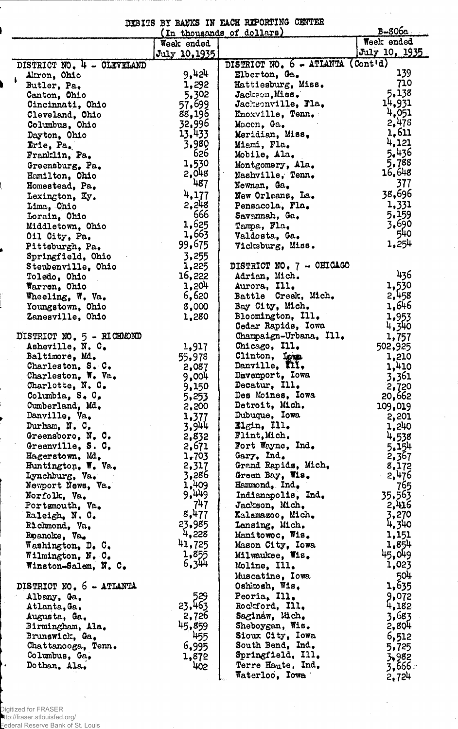DEBITS BY BANKS IN EACH REPORTING CENTER

 $\sim$   $\sim$ 

|                                        |                | (In thousands of dollars)           | $B - 806a$     |
|----------------------------------------|----------------|-------------------------------------|----------------|
|                                        | Week ended     |                                     | Week ended     |
|                                        | July 10,1935   |                                     | July 10, 1935  |
| DISTRICT NO. 4 - CLEVELAND             |                | DISTRICT NO. 6 - ATLANTA (Cont'd)   |                |
| Akron, Ohio                            | 9,424          | Elberton, Ga.                       | 139            |
| Butler, Pa.                            | 1,292          | Hattiesburg, Miss.                  | 710            |
| Canton, Chio                           | 5.302          | Jackson, Miss.                      | 5,138          |
| Cincinnati, Ohio                       | 57,699         | Jacksonville, Fla.                  | 14,931         |
| Cleveland, Ohio                        | 88,196         | Knoxville, Tenn.                    | 4,051          |
| Columbus, Ohio                         | 32,996         | Maccn, Ga.                          | 2,478          |
| Dayton, Ohio                           | 13.433         | Meridian, Miss.                     | 1,611          |
| Erie, Pa.                              | 3,980          | Miami, Fla.                         | 4,121          |
| Franklin, Pa.                          | 626            | Mobile, Ala.                        | 5.436          |
| Greensburg, Pa.                        | 1,530          | Montgomery, Ala.                    | 5,788          |
| Hamilton, Ohio                         | 2,048          | Nashville, Tenn.                    | 16,648         |
| Homestead, Pa.                         | 487            | Newnan, Ga.                         | 377            |
| Lexington, Ky.                         | 4,177          | New Orleans, La.                    | 38,696         |
| Lima, Ohio                             | 2,248          | Pensacola, Fla.                     | 1,331          |
| Lorain, Ohio                           | 666            | Savannah, Ga.                       | 5,159          |
| Middletown, Ohio                       | 1,625          | Tampa, Fla.                         | 3,690          |
| Oil City, Pa.                          | 1,663          | Valdosta, Ga.                       | 540            |
| Pittsburgh, Pa.                        | 99,675         | Vicksburg, Miss.                    | 1,254          |
| Springfield, Ohio                      | 3,255          |                                     |                |
| Steubenville, Ohio                     | 1,225          | DISTRICT NO. 7 - CHICAGO            |                |
| Toledo, Ohio                           | 16,222         | Adrian, Mich.                       | 436            |
| Warren, Ohio                           | 1,204          | Aurora, Ill.                        | 1,530          |
| Wheeling, W. Va.                       | 6,620          | Battle Creek, Mich.                 | 2,458          |
| Youngstown, Ohio                       | 8,000          | Bay City, Mich.                     | 1,646          |
| Zanesville, Ohio                       | 1,280          | Bloomington, Ill.                   | 1,953          |
|                                        |                | Cedar Rapids, Iowa                  | 4,340          |
| DISTRICT NO. 5 - RICHMOND              |                | Champaign-Urbana, Ill.              | 1,757          |
| Asheville, N. C.                       | 1,917          | Chicago, Ill.                       | 502,925        |
| Baltimore, Md.                         | 55,978         | Clinton, Loun.                      | 1,210          |
| Charleston, S. C.                      | 2,087          | Danville, XII.                      | 1,410          |
| Charleston, W. Va.                     | 9,004          | Davenport, Iowa                     | 3,361          |
| Charlotte, N.C.                        | 9,150          | Decatur, Ill.<br>Des Moines, Iowa   | 2,720          |
| Columbia, S. C.                        | 5,253          | Detroit, Mich.                      | 20,662         |
| Cumberland, Md.<br>Danville, Va.       | 2,200          | Dubuque, Iowa                       | 109,019        |
|                                        | 1,377          | $\mathbf{E}$ lgin, $\mathbf{I}$ ll. | 2,201          |
| Durham, $N$ , $C_p$                    | 3,944          | Flint, Mich.                        | 1,240          |
| Greensboro, N. C.<br>Greenville, S. O. | 2,832<br>2,671 | Fort Wayne, Ind.                    | 4,538          |
| Hagerstown, Md.                        | 1,703          | Gary, Ind.                          | 5,154<br>2,367 |
| Huntington. W. Va.                     | 2,317          | Grand Rapids, Mich.                 | 8,172          |
| Lynchburg, Va.                         | 3,286          | Green Bay, Wis.                     | 2,476          |
| Newport News, Va.                      | 1,409          | Hammond, Ind.                       | 765            |
| Norfolk, Va.                           | 9,449          | Indianapolis, Ind.                  | 35.563         |
| Portsmouth, Va.                        | 747            | Jackson, Mich.                      | 2,416          |
| Raleigh, N.C.                          | 8,477          | Kalamazoo, Mich.                    | 3,270          |
| Richmond, Va.                          | 23.985         | Lansing, Mich.                      | 4,340          |
| Roanoke, Va.                           | 4,228          | Manitowoc, Wis.                     | 1,151          |
| Washington, D. C.                      | 41,725         | Mason City, Iowa                    | 1,854          |
| Wilmington, N. C.                      | 1,855          | Milwaukee, Wis.                     | 45,049         |
| Winston-Salem, N. C.                   | 6,344          | Moline, Ill.                        | 1,023          |
|                                        |                | Muscatine, Iowa                     | 504            |
| DISTRICT NO. 6 - ATLANTA               |                | Oshkosh, Wis.                       | 1,635          |
| Albany, Ga.                            | 529<br>23,463  | Peoria, Ill.                        | 9,072          |
| Atlanta, Ga.                           |                | Rockford, Ill.                      | 4,182          |
| Augusta, Ga.                           | 2,726          | Saginaw, Mich.                      | 3.683          |
| Birmingham, Ala.                       | 45,859         | Sheboygan, Wis.                     | 2,804          |
| Brunswick, Ga.                         | 455            | Sioux City, Iowa                    | 6,512          |
| Chattanooga, Tenn.                     | 6,995          | South Bend, Ind.                    | 5.725          |
| Columbus, Ga.                          | 1,872          | Springfield, Ill.                   | 3,982          |
| Dothan, Ala.                           | 402            | Terre Haute, Ind,                   | ∂666, 3        |
|                                        |                | Waterloo, Iowa                      | 2.724          |

Digitized for FRASER http://fraser.stlouisfed.org/ Federal Reserve Bank of St. Louis

 $\ddot{\phantom{a}}$ 

 $\ddot{\phantom{0}}$